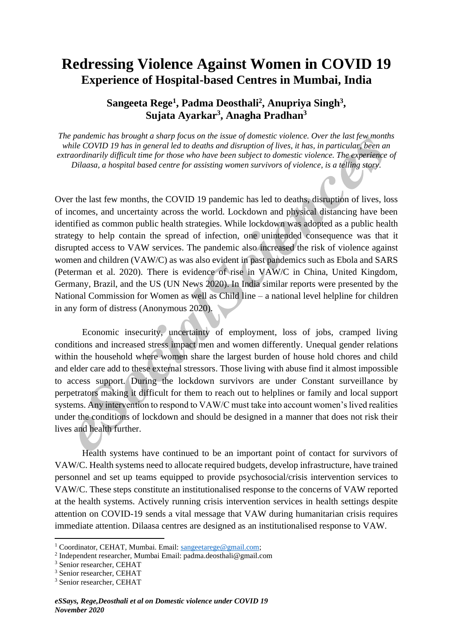# **Redressing Violence Against Women in COVID 19 Experience of Hospital-based Centres in Mumbai, India**

# **Sangeeta Rege<sup>1</sup> , Padma Deosthali<sup>2</sup> , Anupriya Singh<sup>3</sup> , Sujata Ayarkar<sup>3</sup> , Anagha Pradhan<sup>3</sup>**

*The pandemic has brought a sharp focus on the issue of domestic violence. Over the last few months while COVID 19 has in general led to deaths and disruption of lives, it has, in particular, been an extraordinarily difficult time for those who have been subject to domestic violence. The experience of Dilaasa, a hospital based centre for assisting women survivors of violence, is a telling story.*

Over the last few months, the COVID 19 pandemic has led to deaths, disruption of lives, loss of incomes, and uncertainty across the world. Lockdown and physical distancing have been identified as common public health strategies. While lockdown was adopted as a public health strategy to help contain the spread of infection, one unintended consequence was that it disrupted access to VAW services. The pandemic also increased the risk of violence against women and children (VAW/C) as was also evident in past pandemics such as Ebola and SARS (Peterman et al. 2020). There is evidence of rise in VAW/C in China, United Kingdom, Germany, Brazil, and the US (UN News 2020). In India similar reports were presented by the National Commission for Women as well as Child line – a national level helpline for children in any form of distress (Anonymous 2020).

Economic insecurity, uncertainty of employment, loss of jobs, cramped living conditions and increased stress impact men and women differently. Unequal gender relations within the household where women share the largest burden of house hold chores and child and elder care add to these external stressors. Those living with abuse find it almost impossible to access support. During the lockdown survivors are under Constant surveillance by perpetrators making it difficult for them to reach out to helplines or family and local support systems. Any intervention to respond to VAW/C must take into account women's lived realities under the conditions of lockdown and should be designed in a manner that does not risk their lives and health further.

Health systems have continued to be an important point of contact for survivors of VAW/C. Health systems need to allocate required budgets, develop infrastructure, have trained personnel and set up teams equipped to provide psychosocial/crisis intervention services to VAW/C. These steps constitute an institutionalised response to the concerns of VAW reported at the health systems. Actively running crisis intervention services in health settings despite attention on COVID-19 sends a vital message that VAW during humanitarian crisis requires immediate attention. Dilaasa centres are designed as an institutionalised response to VAW.

2 Independent researcher, Mumbai Email: padma.deosthali@gmail.com

<sup>&</sup>lt;sup>1</sup> Coordinator, CEHAT, Mumbai, Email: [sangeetarege@gmail.com;](mailto:sangeetarege@gmail.com)

<sup>3</sup> Senior researcher, CEHAT

<sup>3</sup> Senior researcher, CEHAT

<sup>3</sup> Senior researcher, CEHAT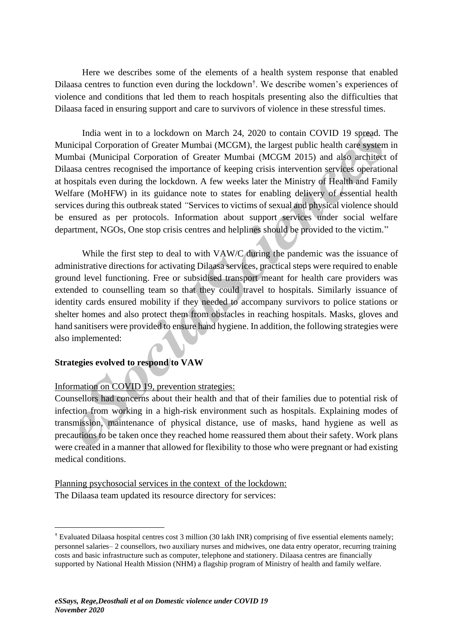Here we describes some of the elements of a health system response that enabled Dilaasa centres to function even during the lockdown† . We describe women's experiences of violence and conditions that led them to reach hospitals presenting also the difficulties that Dilaasa faced in ensuring support and care to survivors of violence in these stressful times.

India went in to a lockdown on March 24, 2020 to contain COVID 19 spread. The Municipal Corporation of Greater Mumbai (MCGM), the largest public health care system in Mumbai (Municipal Corporation of Greater Mumbai (MCGM 2015) and also architect of Dilaasa centres recognised the importance of keeping crisis intervention services operational at hospitals even during the lockdown. A few weeks later the Ministry of Health and Family Welfare (MoHFW) in its guidance note to states for enabling delivery of essential health services during this outbreak stated *"*Services to victims of sexual and physical violence should be ensured as per protocols. Information about support services under social welfare department, NGOs, One stop crisis centres and helplines should be provided to the victim."

While the first step to deal to with VAW/C during the pandemic was the issuance of administrative directions for activating Dilaasa services, practical steps were required to enable ground level functioning. Free or subsidised transport meant for health care providers was extended to counselling team so that they could travel to hospitals. Similarly issuance of identity cards ensured mobility if they needed to accompany survivors to police stations or shelter homes and also protect them from obstacles in reaching hospitals. Masks, gloves and hand sanitisers were provided to ensure hand hygiene. In addition, the following strategies were also implemented:

# **Strategies evolved to respond to VAW**

# Information on COVID 19, prevention strategies:

Counsellors had concerns about their health and that of their families due to potential risk of infection from working in a high-risk environment such as hospitals. Explaining modes of transmission, maintenance of physical distance, use of masks, hand hygiene as well as precautions to be taken once they reached home reassured them about their safety. Work plans were created in a manner that allowed for flexibility to those who were pregnant or had existing medical conditions.

Planning psychosocial services in the context of the lockdown: The Dilaasa team updated its resource directory for services:

<sup>†</sup> Evaluated Dilaasa hospital centres cost 3 million (30 lakh INR) comprising of five essential elements namely; personnel salaries– 2 counsellors, two auxiliary nurses and midwives, one data entry operator, recurring training costs and basic infrastructure such as computer, telephone and stationery. Dilaasa centres are financially supported by National Health Mission (NHM) a flagship program of Ministry of health and family welfare.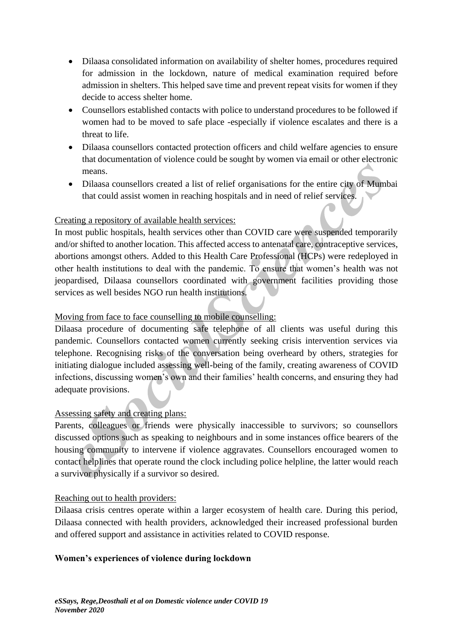- Dilaasa consolidated information on availability of shelter homes, procedures required for admission in the lockdown, nature of medical examination required before admission in shelters. This helped save time and prevent repeat visits for women if they decide to access shelter home.
- Counsellors established contacts with police to understand procedures to be followed if women had to be moved to safe place -especially if violence escalates and there is a threat to life.
- Dilaasa counsellors contacted protection officers and child welfare agencies to ensure that documentation of violence could be sought by women via email or other electronic means.
- Dilaasa counsellors created a list of relief organisations for the entire city of Mumbai that could assist women in reaching hospitals and in need of relief services.

# Creating a repository of available health services:

In most public hospitals, health services other than COVID care were suspended temporarily and/or shifted to another location. This affected access to antenatal care, contraceptive services, abortions amongst others. Added to this Health Care Professional (HCPs) were redeployed in other health institutions to deal with the pandemic. To ensure that women's health was not jeopardised, Dilaasa counsellors coordinated with government facilities providing those services as well besides NGO run health institutions.

# Moving from face to face counselling to mobile counselling:

Dilaasa procedure of documenting safe telephone of all clients was useful during this pandemic. Counsellors contacted women currently seeking crisis intervention services via telephone. Recognising risks of the conversation being overheard by others, strategies for initiating dialogue included assessing well-being of the family, creating awareness of COVID infections, discussing women's own and their families' health concerns, and ensuring they had adequate provisions.

# Assessing safety and creating plans:

Parents, colleagues or friends were physically inaccessible to survivors; so counsellors discussed options such as speaking to neighbours and in some instances office bearers of the housing community to intervene if violence aggravates. Counsellors encouraged women to contact helplines that operate round the clock including police helpline, the latter would reach a survivor physically if a survivor so desired.

# Reaching out to health providers:

Dilaasa crisis centres operate within a larger ecosystem of health care. During this period, Dilaasa connected with health providers, acknowledged their increased professional burden and offered support and assistance in activities related to COVID response.

# **Women's experiences of violence during lockdown**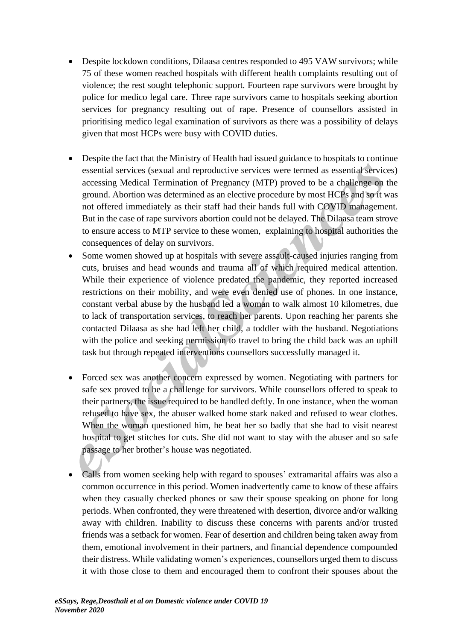- Despite lockdown conditions, Dilaasa centres responded to 495 VAW survivors; while 75 of these women reached hospitals with different health complaints resulting out of violence; the rest sought telephonic support. Fourteen rape survivors were brought by police for medico legal care. Three rape survivors came to hospitals seeking abortion services for pregnancy resulting out of rape. Presence of counsellors assisted in prioritising medico legal examination of survivors as there was a possibility of delays given that most HCPs were busy with COVID duties.
- Despite the fact that the Ministry of Health had issued guidance to hospitals to continue essential services (sexual and reproductive services were termed as essential services) accessing Medical Termination of Pregnancy (MTP) proved to be a challenge on the ground. Abortion was determined as an elective procedure by most HCPs and so it was not offered immediately as their staff had their hands full with COVID management. But in the case of rape survivors abortion could not be delayed. The Dilaasa team strove to ensure access to MTP service to these women, explaining to hospital authorities the consequences of delay on survivors.
- Some women showed up at hospitals with severe assault-caused injuries ranging from cuts, bruises and head wounds and trauma all of which required medical attention. While their experience of violence predated the pandemic, they reported increased restrictions on their mobility, and were even denied use of phones. In one instance, constant verbal abuse by the husband led a woman to walk almost 10 kilometres, due to lack of transportation services, to reach her parents. Upon reaching her parents she contacted Dilaasa as she had left her child, a toddler with the husband. Negotiations with the police and seeking permission to travel to bring the child back was an uphill task but through repeated interventions counsellors successfully managed it.
- Forced sex was another concern expressed by women. Negotiating with partners for safe sex proved to be a challenge for survivors. While counsellors offered to speak to their partners, the issue required to be handled deftly. In one instance, when the woman refused to have sex, the abuser walked home stark naked and refused to wear clothes. When the woman questioned him, he beat her so badly that she had to visit nearest hospital to get stitches for cuts. She did not want to stay with the abuser and so safe passage to her brother's house was negotiated.
- Calls from women seeking help with regard to spouses' extramarital affairs was also a common occurrence in this period. Women inadvertently came to know of these affairs when they casually checked phones or saw their spouse speaking on phone for long periods. When confronted, they were threatened with desertion, divorce and/or walking away with children. Inability to discuss these concerns with parents and/or trusted friends was a setback for women. Fear of desertion and children being taken away from them, emotional involvement in their partners, and financial dependence compounded their distress. While validating women's experiences, counsellors urged them to discuss it with those close to them and encouraged them to confront their spouses about the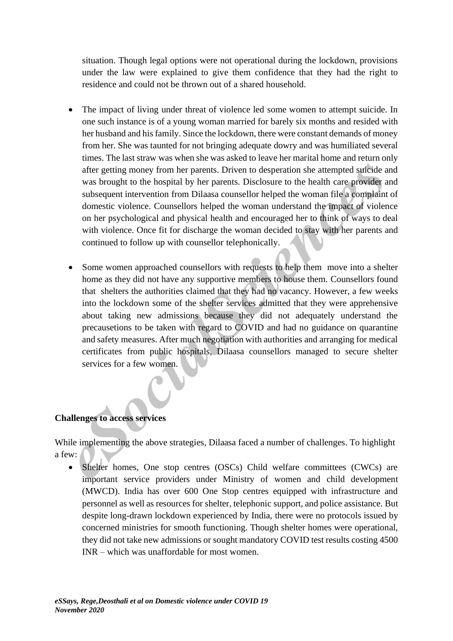situation. Though legal options were not operational during the lockdown, provisions under the law were explained to give them confidence that they had the right to residence and could not be thrown out of a shared household.

- The impact of living under threat of violence led some women to attempt suicide. In one such instance is of a young woman married for barely six months and resided with her husband and his family. Since the lockdown, there were constant demands of money from her. She was taunted for not bringing adequate dowry and was humiliated several times. The last straw was when she was asked to leave her marital home and return only after getting money from her parents. Driven to desperation she attempted suicide and was brought to the hospital by her parents. Disclosure to the health care provider and subsequent intervention from Dilaasa counsellor helped the woman file a complaint of domestic violence. Counsellors helped the woman understand the impact of violence on her psychological and physical health and encouraged her to think of ways to deal with violence. Once fit for discharge the woman decided to stay with her parents and continued to follow up with counsellor telephonically.
- Some women approached counsellors with requests to help them move into a shelter home as they did not have any supportive members to house them. Counsellors found that shelters the authorities claimed that they had no vacancy. However, a few weeks into the lockdown some of the shelter services admitted that they were apprehensive about taking new admissions because they did not adequately understand the precausetions to be taken with regard to COVID and had no guidance on quarantine and safety measures. After much negotiation with authorities and arranging for medical certificates from public hospitals, Dilaasa counsellors managed to secure shelter services for a few women.

# **Challenges to access services**

While implementing the above strategies, Dilaasa faced a number of challenges. To highlight a few:

• Shelter homes, One stop centres (OSCs) Child welfare committees (CWCs) are important service providers under Ministry of women and child development (MWCD). India has over 600 One Stop centres equipped with infrastructure and personnel as well as resources for shelter, telephonic support, and police assistance. But despite long-drawn lockdown experienced by India, there were no protocols issued by concerned ministries for smooth functioning. Though shelter homes were operational, they did not take new admissions or sought mandatory COVID test results costing 4500 INR – which was unaffordable for most women.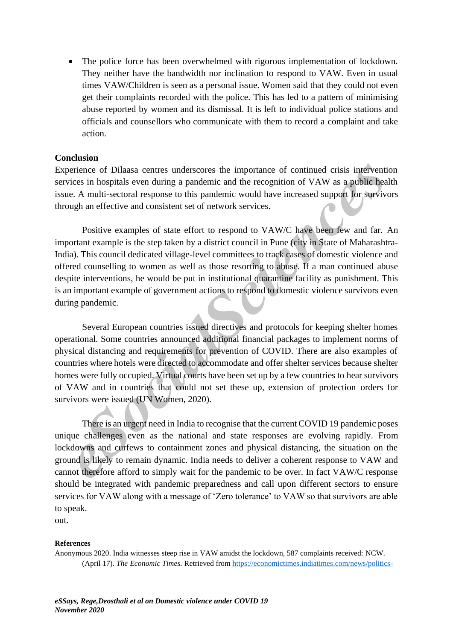• The police force has been overwhelmed with rigorous implementation of lockdown. They neither have the bandwidth nor inclination to respond to VAW. Even in usual times VAW/Children is seen as a personal issue. Women said that they could not even get their complaints recorded with the police. This has led to a pattern of minimising abuse reported by women and its dismissal. It is left to individual police stations and officials and counsellors who communicate with them to record a complaint and take action.

#### **Conclusion**

Experience of Dilaasa centres underscores the importance of continued crisis intervention services in hospitals even during a pandemic and the recognition of VAW as a public health issue. A multi-sectoral response to this pandemic would have increased support for survivors through an effective and consistent set of network services.

Positive examples of state effort to respond to VAW/C have been few and far. An important example is the step taken by a district council in Pune (city in State of Maharashtra-India). This council dedicated village-level committees to track cases of domestic violence and offered counselling to women as well as those resorting to abuse. If a man continued abuse despite interventions, he would be put in institutional quarantine facility as punishment. This is an important example of government actions to respond to domestic violence survivors even during pandemic.

Several European countries issued directives and protocols for keeping shelter homes operational. Some countries announced additional financial packages to implement norms of physical distancing and requirements for prevention of COVID. There are also examples of countries where hotels were directed to accommodate and offer shelter services because shelter homes were fully occupied. Virtual courts have been set up by a few countries to hear survivors of VAW and in countries that could not set these up, extension of protection orders for survivors were issued (UN Women, 2020).

There is an urgent need in India to recognise that the current COVID 19 pandemic poses unique challenges even as the national and state responses are evolving rapidly. From lockdowns and curfews to containment zones and physical distancing, the situation on the ground is likely to remain dynamic. India needs to deliver a coherent response to VAW and cannot therefore afford to simply wait for the pandemic to be over. In fact VAW/C response should be integrated with pandemic preparedness and call upon different sectors to ensure services for VAW along with a message of 'Zero tolerance' to VAW so that survivors are able to speak.

out.

#### **References**

Anonymous 2020. India witnesses steep rise in VAW amidst the lockdown, 587 complaints received: NCW. (April 17). *The Economic Times.* Retrieved from [https://economictimes.indiatimes.com/news/politics-](https://economictimes.indiatimes.com/news/politics-and-nation/india-witnesses-steep-rise-in-crime-against-women-amid-lockdown-587-complaints-received-ncw/articleshow/75201412.cms)